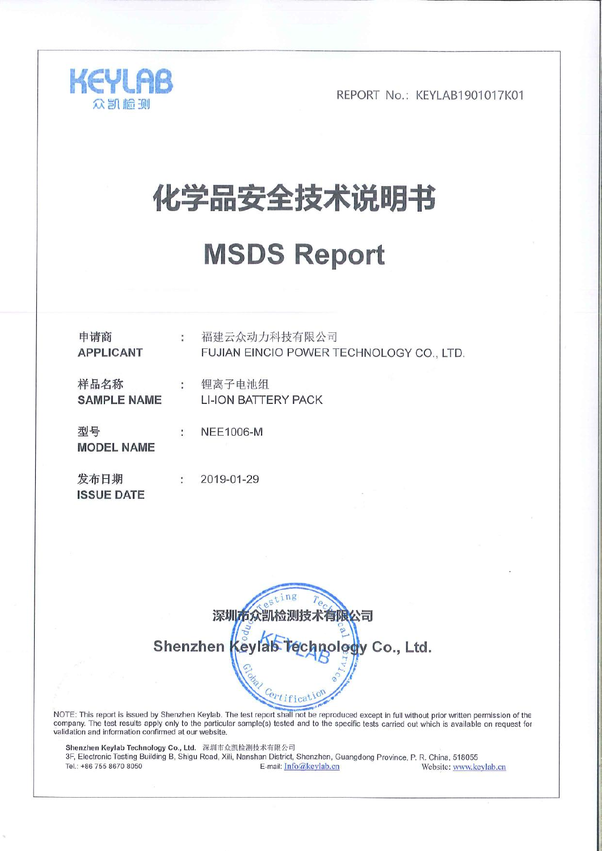

# 化学品安全技术说明书

# **MSDS Report**

| 申请商<br><b>APPLICANT</b>    | $\ddot{\phantom{a}}$ | 福建云众动力科技有限公司<br>FUJIAN EINCIO POWER TECHNOLOGY CO., LTD. |
|----------------------------|----------------------|----------------------------------------------------------|
| 样品名称<br><b>SAMPLE NAME</b> | ÷                    | 锂离子电池组<br><b>LI-ION BATTERY PACK</b>                     |
| 型号<br><b>MODEL NAME</b>    | $\ddot{\phantom{a}}$ | <b>NEE1006-M</b>                                         |
| 发布日期<br><b>ISSUE DATE</b>  | ÷                    | 2019-01-29                                               |



NOTE: This report is issued by Shenzhen Keylab. The test report shall not be reproduced except in full without prior written permission of the company. The test results apply only to the particular sample(s) tested and to the specific tests carried out which is available on request for validation and information confirmed at our website.

Shenzhen Keylab Technology Co., Ltd. 深圳市众凯检测技术有限公司<br>3F, Electronic Testing Building B, Shigu Road, Xili, Nanshan District, Shenzhen, Guangdong Province, P. R. China, 518055 Website: www.keylab.cn Tel.: +86 755 8670 8050 E-mail: Info@keylab.cn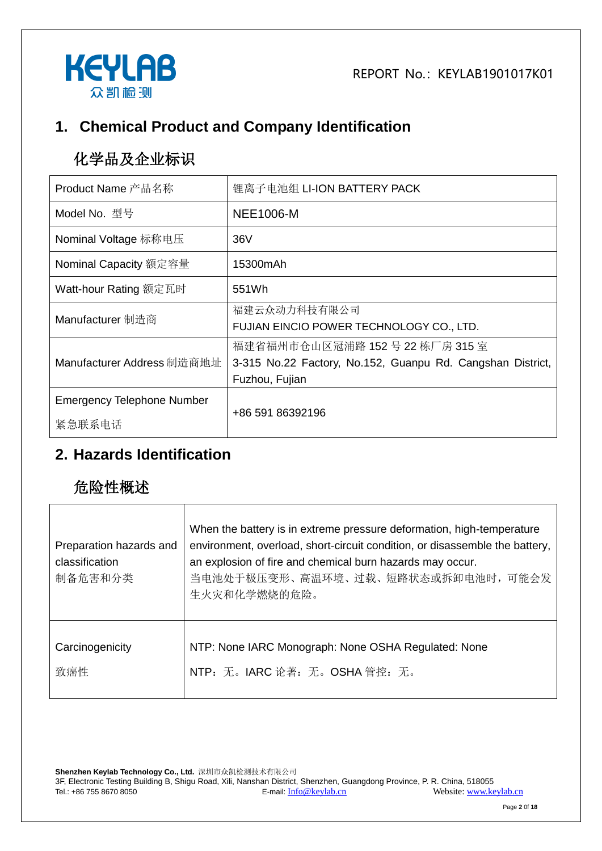

# **1. Chemical Product and Company Identification**

# 化学品及企业标识

| Product Name 产品名称                           | 锂离子电池组 LI-ION BATTERY PACK                                                                                     |
|---------------------------------------------|----------------------------------------------------------------------------------------------------------------|
| Model No. 型号                                | <b>NEE1006-M</b>                                                                                               |
| Nominal Voltage 标称电压                        | 36V                                                                                                            |
| Nominal Capacity 额定容量                       | 15300mAh                                                                                                       |
| Watt-hour Rating 额定瓦时                       | 551Wh                                                                                                          |
| Manufacturer 制造商                            | 福建云众动力科技有限公司<br>FUJIAN EINCIO POWER TECHNOLOGY CO., LTD.                                                       |
| Manufacturer Address 制造商地址                  | 福建省福州市仓山区冠浦路 152号 22 栋厂房 315 室<br>3-315 No.22 Factory, No.152, Guanpu Rd. Cangshan District,<br>Fuzhou, Fujian |
| <b>Emergency Telephone Number</b><br>紧急联系电话 | +86 591 86392196                                                                                               |

#### **2. Hazards Identification**

## 危险性概述

| Preparation hazards and<br>classification<br>制备危害和分类 | When the battery is in extreme pressure deformation, high-temperature<br>environment, overload, short-circuit condition, or disassemble the battery,<br>an explosion of fire and chemical burn hazards may occur.<br>当电池处于极压变形、高温环境、过载、短路状态或拆卸电池时, 可能会发<br>生火灾和化学燃烧的危险。 |
|------------------------------------------------------|-------------------------------------------------------------------------------------------------------------------------------------------------------------------------------------------------------------------------------------------------------------------------|
| Carcinogenicity                                      | NTP: None IARC Monograph: None OSHA Regulated: None                                                                                                                                                                                                                     |
| 致癌性                                                  | NTP: 无。IARC 论著: 无。OSHA 管控: 无。                                                                                                                                                                                                                                           |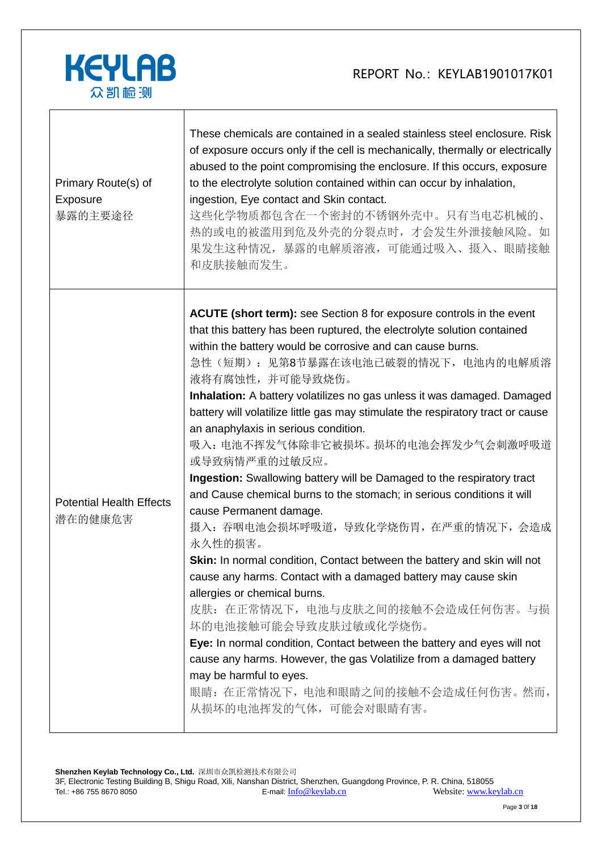

| Primary Route(s) of<br>Exposure<br>暴露的主要途径 | These chemicals are contained in a sealed stainless steel enclosure. Risk<br>of exposure occurs only if the cell is mechanically, thermally or electrically<br>abused to the point compromising the enclosure. If this occurs, exposure<br>to the electrolyte solution contained within can occur by inhalation,<br>ingestion, Eye contact and Skin contact.<br>这些化学物质都包含在一个密封的不锈钢外壳中。只有当电芯机械的、<br>热的或电的被滥用到危及外壳的分裂点时,才会发生外泄接触风险。如<br>果发生这种情况,暴露的电解质溶液,可能通过吸入、摄入、眼睛接触<br>和皮肤接触而发生。                                                                                                                                                                                                                                                                                                                                                                                                                                                                                                                                                                                                                                                                                                                                                                                      |
|--------------------------------------------|-------------------------------------------------------------------------------------------------------------------------------------------------------------------------------------------------------------------------------------------------------------------------------------------------------------------------------------------------------------------------------------------------------------------------------------------------------------------------------------------------------------------------------------------------------------------------------------------------------------------------------------------------------------------------------------------------------------------------------------------------------------------------------------------------------------------------------------------------------------------------------------------------------------------------------------------------------------------------------------------------------------------------------------------------------------------------------------------------------------------------------------------------------------------------------------------------------------------------------------------------------------------------|
| <b>Potential Health Effects</b><br>潜在的健康危害 | <b>ACUTE (short term):</b> see Section 8 for exposure controls in the event<br>that this battery has been ruptured, the electrolyte solution contained<br>within the battery would be corrosive and can cause burns.<br>急性(短期): 见第8节暴露在该电池已破裂的情况下, 电池内的电解质溶<br>液将有腐蚀性,并可能导致烧伤。<br>Inhalation: A battery volatilizes no gas unless it was damaged. Damaged<br>battery will volatilize little gas may stimulate the respiratory tract or cause<br>an anaphylaxis in serious condition.<br>吸入: 电池不挥发气体除非它被损坏。损坏的电池会挥发少气会刺激呼吸道<br>或导致病情严重的过敏反应。<br>Ingestion: Swallowing battery will be Damaged to the respiratory tract<br>and Cause chemical burns to the stomach; in serious conditions it will<br>cause Permanent damage.<br>摄入: 吞咽电池会损坏呼吸道, 导致化学烧伤胃, 在严重的情况下, 会造成<br>永久性的损害。<br>Skin: In normal condition, Contact between the battery and skin will not<br>cause any harms. Contact with a damaged battery may cause skin<br>allergies or chemical burns.<br>皮肤: 在正常情况下, 电池与皮肤之间的接触不会造成任何伤害。与损<br>坏的电池接触可能会导致皮肤过敏或化学烧伤。<br>Eye: In normal condition, Contact between the battery and eyes will not<br>cause any harms. However, the gas Volatilize from a damaged battery<br>may be harmful to eyes.<br>眼睛: 在正常情况下, 电池和眼睛之间的接触不会造成任何伤害。然而,<br>从损坏的电池挥发的气体, 可能会对眼睛有害。 |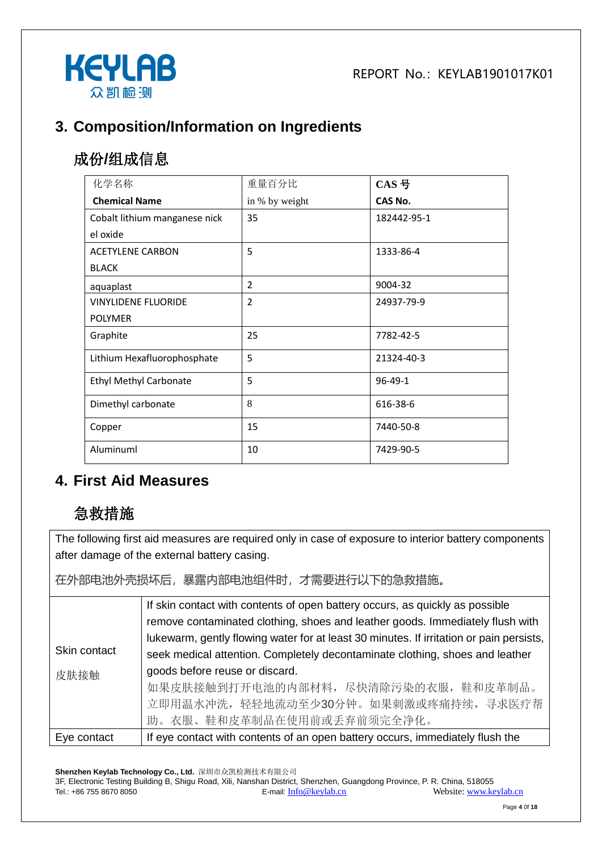

## **3. Composition/Information on Ingredients**

# 成份**/**组成信息

| 化学名称                          | 重量百分比          | $CAS$ 号       |
|-------------------------------|----------------|---------------|
| <b>Chemical Name</b>          | in % by weight | CAS No.       |
| Cobalt lithium manganese nick | 35             | 182442-95-1   |
| el oxide                      |                |               |
| <b>ACETYLENE CARBON</b>       | 5              | 1333-86-4     |
| <b>BLACK</b>                  |                |               |
| aquaplast                     | 2              | 9004-32       |
| <b>VINYLIDENE FLUORIDE</b>    | $\overline{2}$ | 24937-79-9    |
| <b>POLYMER</b>                |                |               |
| Graphite                      | 25             | 7782-42-5     |
| Lithium Hexafluorophosphate   | 5              | 21324-40-3    |
| <b>Ethyl Methyl Carbonate</b> | 5              | $96 - 49 - 1$ |
| Dimethyl carbonate            | 8              | 616-38-6      |
| Copper                        | 15             | 7440-50-8     |
| Aluminuml                     | 10             | 7429-90-5     |

#### **4. First Aid Measures**

## 急救措施

The following first aid measures are required only in case of exposure to interior battery components after damage of the external battery casing.

在外部电池外壳损坏后,暴露内部电池组件时,才需要进行以下的急救措施。

|              | If skin contact with contents of open battery occurs, as quickly as possible<br>remove contaminated clothing, shoes and leather goods. Immediately flush with<br>lukewarm, gently flowing water for at least 30 minutes. If irritation or pain persists, |  |  |  |
|--------------|----------------------------------------------------------------------------------------------------------------------------------------------------------------------------------------------------------------------------------------------------------|--|--|--|
| Skin contact | seek medical attention. Completely decontaminate clothing, shoes and leather                                                                                                                                                                             |  |  |  |
| 皮肤接触         | goods before reuse or discard.<br>如果皮肤接触到打开电池的内部材料,尽快清除污染的衣服,鞋和皮革制品。<br>立即用温水冲洗, 轻轻地流动至少30分钟。如果刺激或疼痛持续, 寻求医疗帮<br>助。衣服、鞋和皮革制品在使用前或丢弃前须完全净化。                                                                                                               |  |  |  |
| Eye contact  | If eye contact with contents of an open battery occurs, immediately flush the                                                                                                                                                                            |  |  |  |

**Shenzhen Keylab Technology Co., Ltd.** 深圳市众凯检测技术有限公司 3F, Electronic Testing Building B, Shigu Road, Xili, Nanshan District, Shenzhen, Guangdong Province, P. R. China, 518055 Tel.: +86 755 8670 8050 **E-mail:** [Info@keylab.cn](mailto:Info@keylab.cn) Website[: www.keylab.cn](http://www.keylab.cn/)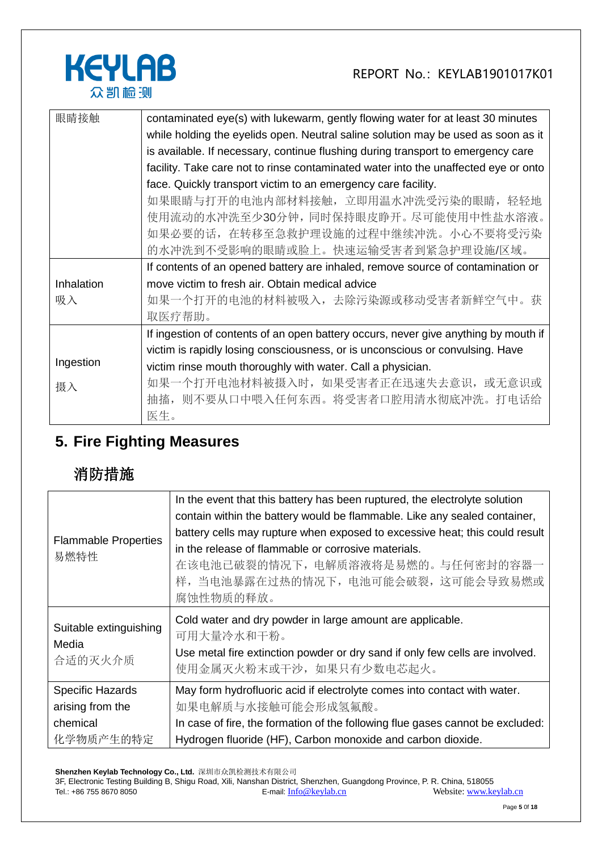

| 眼睛接触       | contaminated eye(s) with lukewarm, gently flowing water for at least 30 minutes     |  |  |  |  |
|------------|-------------------------------------------------------------------------------------|--|--|--|--|
|            | while holding the eyelids open. Neutral saline solution may be used as soon as it   |  |  |  |  |
|            | is available. If necessary, continue flushing during transport to emergency care    |  |  |  |  |
|            | facility. Take care not to rinse contaminated water into the unaffected eye or onto |  |  |  |  |
|            | face. Quickly transport victim to an emergency care facility.                       |  |  |  |  |
|            | 如果眼睛与打开的电池内部材料接触, 立即用温水冲洗受污染的眼睛, 轻轻地                                                |  |  |  |  |
|            | 使用流动的水冲洗至少30分钟,同时保持眼皮睁开。尽可能使用中性盐水溶液。                                                |  |  |  |  |
|            | 如果必要的话,在转移至急救护理设施的过程中继续冲洗。小心不要将受污染                                                  |  |  |  |  |
|            | 的水冲洗到不受影响的眼睛或脸上。快速运输受害者到紧急护理设施/区域。                                                  |  |  |  |  |
|            | If contents of an opened battery are inhaled, remove source of contamination or     |  |  |  |  |
| Inhalation | move victim to fresh air. Obtain medical advice                                     |  |  |  |  |
| 吸入         | 如果一个打开的电池的材料被吸入,去除污染源或移动受害者新鲜空气中。获                                                  |  |  |  |  |
|            | 取医疗帮助。                                                                              |  |  |  |  |
|            | If ingestion of contents of an open battery occurs, never give anything by mouth if |  |  |  |  |
|            | victim is rapidly losing consciousness, or is unconscious or convulsing. Have       |  |  |  |  |
| Ingestion  | victim rinse mouth thoroughly with water. Call a physician.                         |  |  |  |  |
| 摄入         | 如果一个打开电池材料被摄入时, 如果受害者正在迅速失去意识, 或无意识或                                                |  |  |  |  |
|            | 则不要从口中喂入任何东西。将受害者口腔用清水彻底冲洗。打电话给<br>抽搐,                                              |  |  |  |  |
|            | 医生。                                                                                 |  |  |  |  |

# **5. Fire Fighting Measures**

# 消防措施

| <b>Flammable Properties</b><br>易燃特性                                  | In the event that this battery has been ruptured, the electrolyte solution<br>contain within the battery would be flammable. Like any sealed container,<br>battery cells may rupture when exposed to excessive heat; this could result<br>in the release of flammable or corrosive materials.<br>在该电池已破裂的情况下, 电解质溶液将是易燃的。与任何密封的容器一<br>样, 当电池暴露在过热的情况下, 电池可能会破裂, 这可能会导致易燃或<br>腐蚀性物质的释放。 |  |
|----------------------------------------------------------------------|----------------------------------------------------------------------------------------------------------------------------------------------------------------------------------------------------------------------------------------------------------------------------------------------------------------------------------------------------------------------------------------|--|
| Suitable extinguishing<br>Media<br>合适的灭火介质                           | Cold water and dry powder in large amount are applicable.<br>可用大量冷水和干粉。<br>Use metal fire extinction powder or dry sand if only few cells are involved.<br>使用金属灭火粉末或干沙, 如果只有少数电芯起火。                                                                                                                                                                                                    |  |
| <b>Specific Hazards</b><br>arising from the<br>chemical<br>化学物质产生的特定 | May form hydrofluoric acid if electrolyte comes into contact with water.<br>如果电解质与水接触可能会形成氢氟酸。<br>In case of fire, the formation of the following flue gases cannot be excluded:<br>Hydrogen fluoride (HF), Carbon monoxide and carbon dioxide.                                                                                                                                        |  |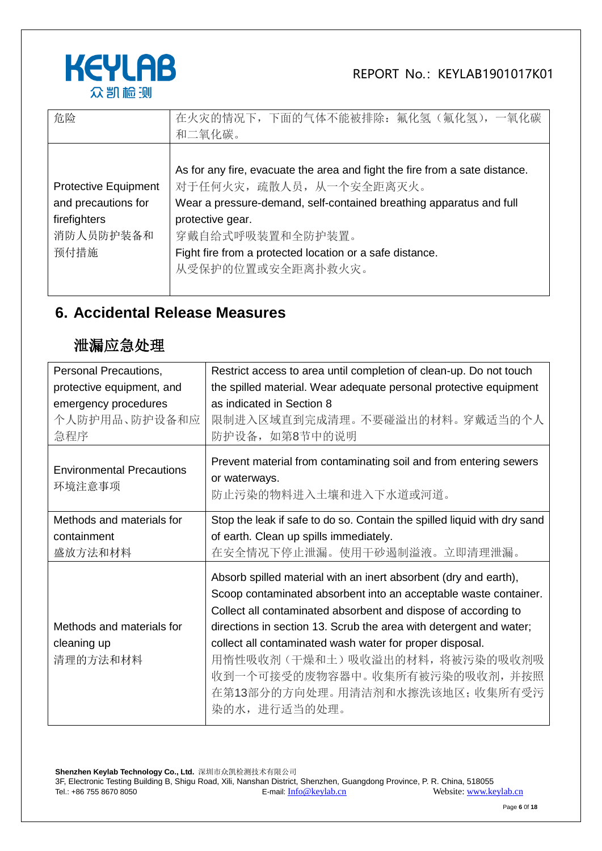

| 危险                                                                                      | 在火灾的情况下, 下面的气体不能被排除: 氟化氢 (氟化氢), 一氧化碳<br>和二氧化碳。                                                                                                                                                                                                                                                          |
|-----------------------------------------------------------------------------------------|---------------------------------------------------------------------------------------------------------------------------------------------------------------------------------------------------------------------------------------------------------------------------------------------------------|
| <b>Protective Equipment</b><br>and precautions for<br>firefighters<br>消防人员防护装备和<br>预付措施 | As for any fire, evacuate the area and fight the fire from a sate distance.<br>对于任何火灾, 疏散人员, 从一个安全距离灭火。<br>Wear a pressure-demand, self-contained breathing apparatus and full<br>protective gear.<br>穿戴自给式呼吸装置和全防护装置。<br>Fight fire from a protected location or a safe distance.<br>从受保护的位置或安全距离扑救火灾。 |

## **6. Accidental Release Measures**

## 泄漏应急处理

| Personal Precautions,                      | Restrict access to area until completion of clean-up. Do not touch                                                                                                                                                                                                                                                                       |  |  |
|--------------------------------------------|------------------------------------------------------------------------------------------------------------------------------------------------------------------------------------------------------------------------------------------------------------------------------------------------------------------------------------------|--|--|
| protective equipment, and                  | the spilled material. Wear adequate personal protective equipment                                                                                                                                                                                                                                                                        |  |  |
| emergency procedures                       | as indicated in Section 8                                                                                                                                                                                                                                                                                                                |  |  |
| 个人防护用品、防护设备和应                              | 限制进入区域直到完成清理。不要碰溢出的材料。穿戴适当的个人                                                                                                                                                                                                                                                                                                            |  |  |
| 急程序                                        | 防护设备, 如第8节中的说明                                                                                                                                                                                                                                                                                                                           |  |  |
| <b>Environmental Precautions</b><br>环境注意事项 | Prevent material from contaminating soil and from entering sewers<br>or waterways.<br>防止污染的物料进入土壤和进入下水道或河道。                                                                                                                                                                                                                              |  |  |
| Methods and materials for                  | Stop the leak if safe to do so. Contain the spilled liquid with dry sand                                                                                                                                                                                                                                                                 |  |  |
| containment                                | of earth. Clean up spills immediately.                                                                                                                                                                                                                                                                                                   |  |  |
| 盛放方法和材料                                    | 在安全情况下停止泄漏。使用干砂遏制溢液。立即清理泄漏。                                                                                                                                                                                                                                                                                                              |  |  |
| Methods and materials for<br>cleaning up   | Absorb spilled material with an inert absorbent (dry and earth),<br>Scoop contaminated absorbent into an acceptable waste container.<br>Collect all contaminated absorbent and dispose of according to<br>directions in section 13. Scrub the area with detergent and water;<br>collect all contaminated wash water for proper disposal. |  |  |
| 清理的方法和材料                                   | 用惰性吸收剂 (干燥和土) 吸收溢出的材料,将被污染的吸收剂吸<br>收到一个可接受的废物容器中。收集所有被污染的吸收剂, 并按照<br>在第13部分的方向处理。用清洁剂和水擦洗该地区;收集所有受污<br>染的水,进行适当的处理。                                                                                                                                                                                                                      |  |  |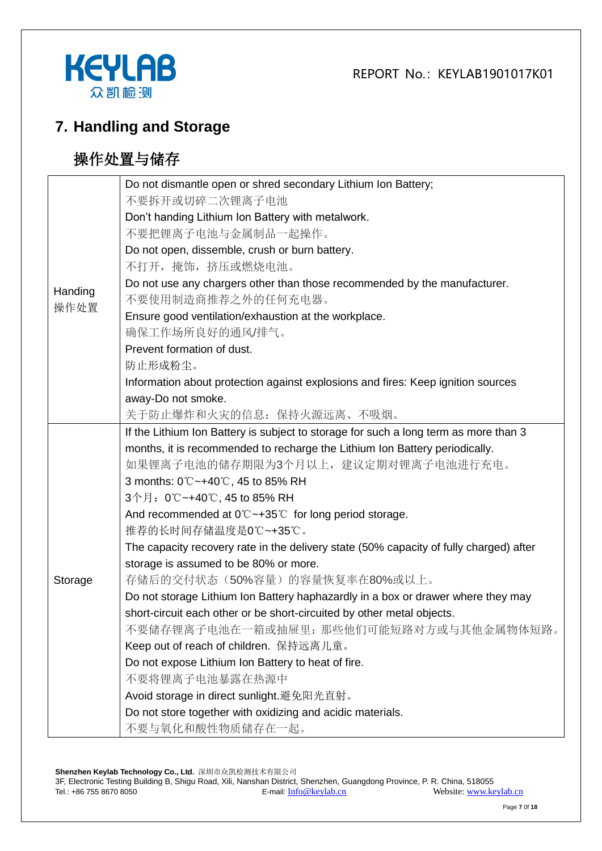



## **7. Handling and Storage**

# 操作处置与储存

|                 | Do not dismantle open or shred secondary Lithium Ion Battery;                          |
|-----------------|----------------------------------------------------------------------------------------|
|                 | 不要拆开或切碎二次锂离子电池                                                                         |
|                 | Don't handing Lithium Ion Battery with metalwork.                                      |
|                 | 不要把锂离子电池与金属制品一起操作。                                                                     |
|                 | Do not open, dissemble, crush or burn battery.                                         |
| Handing<br>操作处置 | 不打开,掩饰,挤压或燃烧电池。                                                                        |
|                 | Do not use any chargers other than those recommended by the manufacturer.              |
|                 | 不要使用制造商推荐之外的任何充电器。                                                                     |
|                 | Ensure good ventilation/exhaustion at the workplace.                                   |
|                 | 确保工作场所良好的通风/排气。                                                                        |
|                 | Prevent formation of dust.                                                             |
|                 | 防止形成粉尘。                                                                                |
|                 | Information about protection against explosions and fires: Keep ignition sources       |
|                 | away-Do not smoke.                                                                     |
|                 | 关于防止爆炸和火灾的信息: 保持火源远离、不吸烟。                                                              |
|                 | If the Lithium Ion Battery is subject to storage for such a long term as more than 3   |
|                 | months, it is recommended to recharge the Lithium Ion Battery periodically.            |
|                 | 如果锂离子电池的储存期限为3个月以上,建议定期对锂离子电池进行充电。                                                     |
|                 | 3 months: 0℃~+40℃, 45 to 85% RH                                                        |
|                 | 3个月: 0℃~+40℃, 45 to 85% RH                                                             |
|                 | And recommended at $0^{\circ}$ $\sim$ +35 $^{\circ}$ for long period storage.          |
|                 | 推荐的长时间存储温度是0℃~+35℃。                                                                    |
|                 | The capacity recovery rate in the delivery state (50% capacity of fully charged) after |
|                 | storage is assumed to be 80% or more.                                                  |
| Storage         | 存储后的交付状态(50%容量)的容量恢复率在80%或以上。                                                          |
|                 | Do not storage Lithium Ion Battery haphazardly in a box or drawer where they may       |
|                 | short-circuit each other or be short-circuited by other metal objects.                 |
|                 | 不要储存锂离子电池在一箱或抽屉里: 那些他们可能短路对方或与其他金属物体短路。                                                |
|                 | Keep out of reach of children. 保持远离儿童。                                                 |
|                 | Do not expose Lithium Ion Battery to heat of fire.                                     |
|                 | 不要将锂离子电池暴露在热源中                                                                         |
|                 | Avoid storage in direct sunlight.避免阳光直射。                                               |
|                 | Do not store together with oxidizing and acidic materials.                             |
|                 | 不要与氧化和酸性物质储存在一起。                                                                       |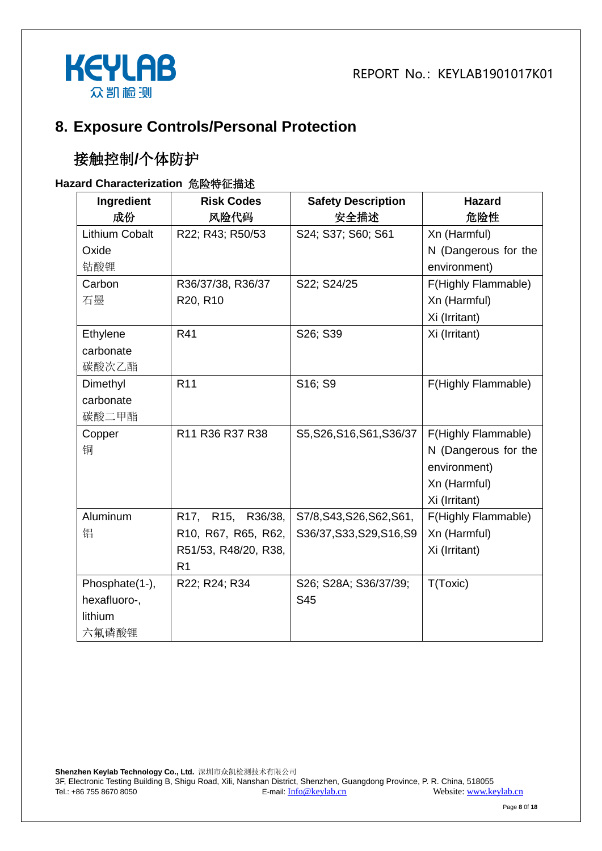

#### **8. Exposure Controls/Personal Protection**

# 接触控制**/**个体防护

#### **Hazard Characterization** 危险特征描述

| Ingredient     | <b>Risk Codes</b>    | <b>Safety Description</b> | <b>Hazard</b>        |
|----------------|----------------------|---------------------------|----------------------|
| 成份             | 风险代码                 | 安全描述                      | 危险性                  |
| Lithium Cobalt | R22; R43; R50/53     | S24; S37; S60; S61        | Xn (Harmful)         |
| Oxide          |                      |                           | N (Dangerous for the |
| 钴酸锂            |                      |                           | environment)         |
| Carbon         | R36/37/38, R36/37    | S22; S24/25               | F(Highly Flammable)  |
| 石墨             | R20, R10             |                           | Xn (Harmful)         |
|                |                      |                           | Xi (Irritant)        |
| Ethylene       | R41                  | S26; S39                  | Xi (Irritant)        |
| carbonate      |                      |                           |                      |
| 碳酸次乙酯          |                      |                           |                      |
| Dimethyl       | R <sub>11</sub>      | S16; S9                   | F(Highly Flammable)  |
| carbonate      |                      |                           |                      |
| 碳酸二甲酯          |                      |                           |                      |
| Copper         | R11 R36 R37 R38      | S5, S26, S16, S61, S36/37 | F(Highly Flammable)  |
| 铜              |                      |                           | N (Dangerous for the |
|                |                      |                           | environment)         |
|                |                      |                           | Xn (Harmful)         |
|                |                      |                           | Xi (Irritant)        |
| Aluminum       | R17, R15, R36/38,    | S7/8, S43, S26, S62, S61, | F(Highly Flammable)  |
| 铝              | R10, R67, R65, R62,  | S36/37, S33, S29, S16, S9 | Xn (Harmful)         |
|                | R51/53, R48/20, R38, |                           | Xi (Irritant)        |
|                | R <sub>1</sub>       |                           |                      |
| Phosphate(1-), | R22; R24; R34        | S26; S28A; S36/37/39;     | T(Toxic)             |
| hexafluoro-,   |                      | S45                       |                      |
| lithium        |                      |                           |                      |
| 六氟磷酸锂          |                      |                           |                      |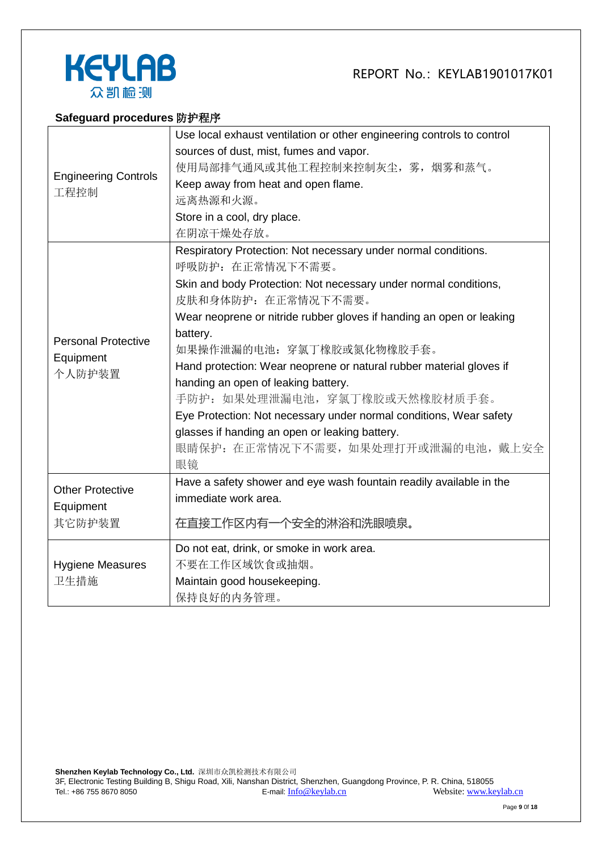



#### **Safeguard procedures** 防护程序

|                                     | Use local exhaust ventilation or other engineering controls to control |  |  |
|-------------------------------------|------------------------------------------------------------------------|--|--|
| <b>Engineering Controls</b><br>工程控制 | sources of dust, mist, fumes and vapor.                                |  |  |
|                                     | 使用局部排气通风或其他工程控制来控制灰尘, 雾, 烟雾和蒸气。                                        |  |  |
|                                     | Keep away from heat and open flame.                                    |  |  |
|                                     | 远离热源和火源。                                                               |  |  |
|                                     | Store in a cool, dry place.                                            |  |  |
|                                     | 在阴凉干燥处存放。                                                              |  |  |
|                                     | Respiratory Protection: Not necessary under normal conditions.         |  |  |
|                                     | 呼吸防护: 在正常情况下不需要。                                                       |  |  |
|                                     | Skin and body Protection: Not necessary under normal conditions,       |  |  |
|                                     | 皮肤和身体防护: 在正常情况下不需要。                                                    |  |  |
|                                     | Wear neoprene or nitride rubber gloves if handing an open or leaking   |  |  |
| <b>Personal Protective</b>          | battery.                                                               |  |  |
| Equipment                           | 如果操作泄漏的电池: 穿氯丁橡胶或氮化物橡胶手套。                                              |  |  |
| 个人防护装置                              | Hand protection: Wear neoprene or natural rubber material gloves if    |  |  |
|                                     | handing an open of leaking battery.                                    |  |  |
|                                     | 手防护: 如果处理泄漏电池, 穿氯丁橡胶或天然橡胶材质手套。                                         |  |  |
|                                     | Eye Protection: Not necessary under normal conditions, Wear safety     |  |  |
|                                     | glasses if handing an open or leaking battery.                         |  |  |
|                                     | 眼睛保护: 在正常情况下不需要, 如果处理打开或泄漏的电池, 戴上安全                                    |  |  |
|                                     | 眼镜                                                                     |  |  |
| <b>Other Protective</b>             | Have a safety shower and eye wash fountain readily available in the    |  |  |
| Equipment                           | immediate work area.                                                   |  |  |
| 其它防护装置                              | 在直接工作区内有一个安全的淋浴和洗眼喷泉。                                                  |  |  |
|                                     |                                                                        |  |  |
|                                     | Do not eat, drink, or smoke in work area.                              |  |  |
| <b>Hygiene Measures</b>             | 不要在工作区域饮食或抽烟。                                                          |  |  |
| 卫生措施                                | Maintain good housekeeping.                                            |  |  |
|                                     | 保持良好的内务管理。                                                             |  |  |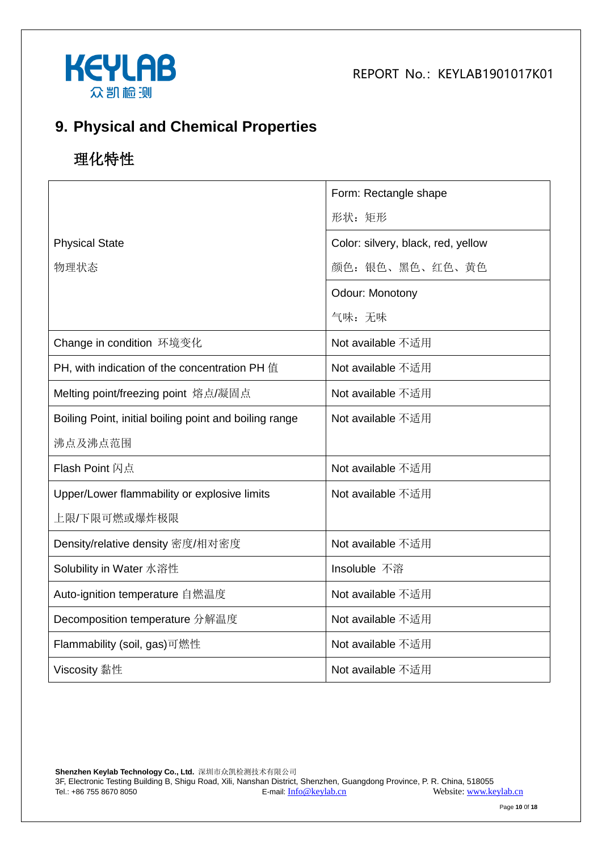



## **9. Physical and Chemical Properties**

# 理化特性

|                                                        | Form: Rectangle shape              |
|--------------------------------------------------------|------------------------------------|
|                                                        | 形状: 矩形                             |
| <b>Physical State</b>                                  | Color: silvery, black, red, yellow |
| 物理状态                                                   | 颜色: 银色、黑色、红色、黄色                    |
|                                                        | Odour: Monotony                    |
|                                                        | 气味:无味                              |
| Change in condition 环境变化                               | Not available 不适用                  |
| PH, with indication of the concentration PH 值          | Not available 不适用                  |
| Melting point/freezing point 熔点/凝固点                    | Not available 不适用                  |
| Boiling Point, initial boiling point and boiling range | Not available 不适用                  |
| 沸点及沸点范围                                                |                                    |
| <b>Flash Point 闪点</b>                                  | Not available 不适用                  |
| Upper/Lower flammability or explosive limits           | Not available 不适用                  |
| 上限/下限可燃或爆炸极限                                           |                                    |
| Density/relative density 密度/相对密度                       | Not available 不适用                  |
| Solubility in Water 水溶性                                | Insoluble 不溶                       |
| Auto-ignition temperature 自燃温度                         | Not available 不适用                  |
| Decomposition temperature 分解温度                         | Not available 不适用                  |
| Flammability (soil, gas)可燃性                            | Not available 不适用                  |
| Viscosity 黏性                                           | Not available 不适用                  |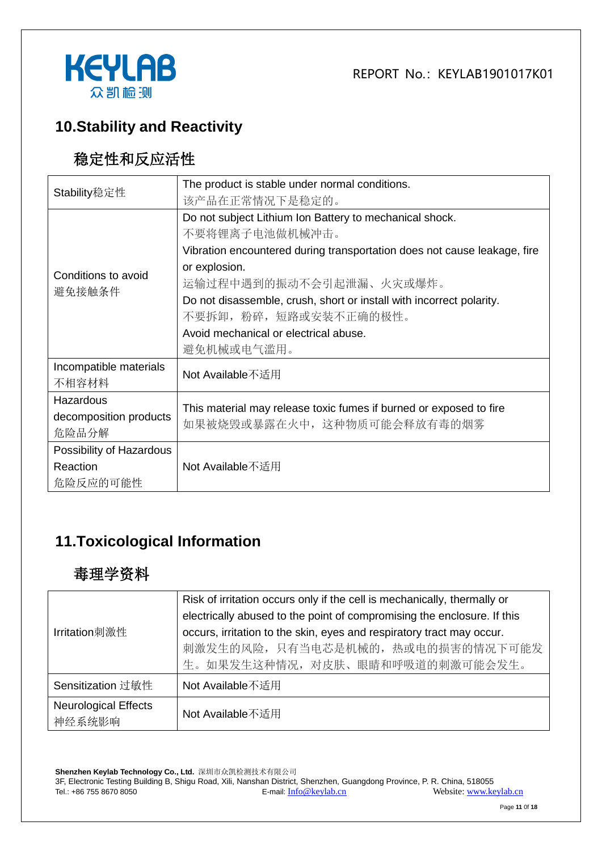



## **10.Stability and Reactivity**

## 稳定性和反应活性

| Stability稳定性             | The product is stable under normal conditions.                           |  |  |
|--------------------------|--------------------------------------------------------------------------|--|--|
|                          | 该产品在正常情况下是稳定的。                                                           |  |  |
|                          | Do not subject Lithium Ion Battery to mechanical shock.                  |  |  |
|                          | 不要将锂离子电池做机械冲击。                                                           |  |  |
|                          | Vibration encountered during transportation does not cause leakage, fire |  |  |
| Conditions to avoid      | or explosion.                                                            |  |  |
| 避免接触条件                   | 运输过程中遇到的振动不会引起泄漏、火灾或爆炸。                                                  |  |  |
|                          | Do not disassemble, crush, short or install with incorrect polarity.     |  |  |
|                          | 不要拆卸, 粉碎, 短路或安装不正确的极性。                                                   |  |  |
|                          | Avoid mechanical or electrical abuse.                                    |  |  |
|                          | 避免机械或电气滥用。                                                               |  |  |
| Incompatible materials   | Not Available不适用                                                         |  |  |
| 不相容材料                    |                                                                          |  |  |
| Hazardous                | This material may release toxic fumes if burned or exposed to fire       |  |  |
| decomposition products   | 如果被烧毁或暴露在火中, 这种物质可能会释放有毒的烟雾                                              |  |  |
| 危险品分解                    |                                                                          |  |  |
| Possibility of Hazardous |                                                                          |  |  |
| Reaction                 | Not Available不适用                                                         |  |  |
| 危险反应的可能性                 |                                                                          |  |  |

## **11.Toxicological Information**

#### 毒理学资料

|                             | Risk of irritation occurs only if the cell is mechanically, thermally or |  |  |
|-----------------------------|--------------------------------------------------------------------------|--|--|
|                             | electrically abused to the point of compromising the enclosure. If this  |  |  |
| Irritation刺激性               | occurs, irritation to the skin, eyes and respiratory tract may occur.    |  |  |
|                             | 刺激发生的风险, 只有当电芯是机械的, 热或电的损害的情况下可能发                                        |  |  |
|                             | 生。如果发生这种情况, 对皮肤、眼睛和呼吸道的刺激可能会发生。                                          |  |  |
| Sensitization 过敏性           | Not Available不适用                                                         |  |  |
| <b>Neurological Effects</b> | Not Available不适用                                                         |  |  |
| 神经系统影响                      |                                                                          |  |  |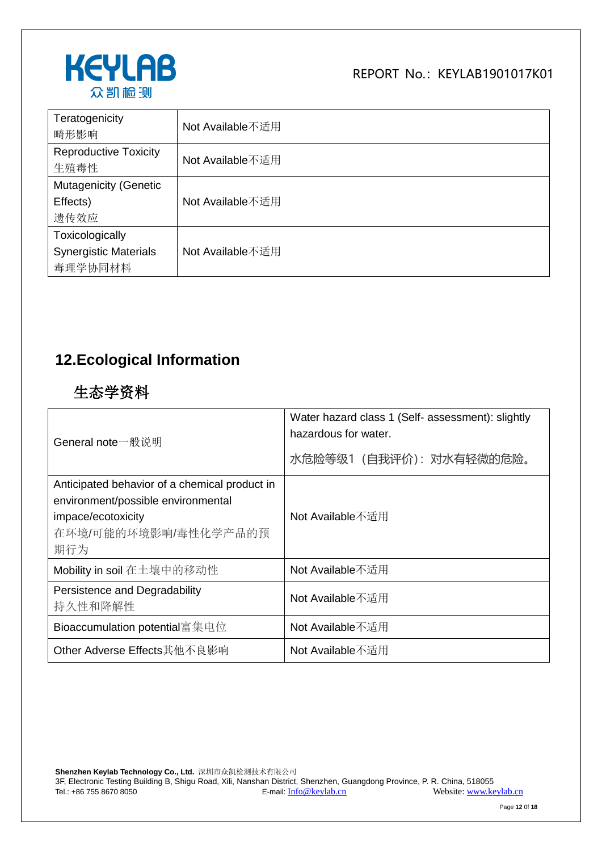

| Teratogenicity<br>畸形影响                                     | Not Available不适用 |
|------------------------------------------------------------|------------------|
| <b>Reproductive Toxicity</b><br>生殖毒性                       | Not Available不适用 |
| <b>Mutagenicity (Genetic</b><br>Effects)<br>遗传效应           | Not Available不适用 |
| Toxicologically<br><b>Synergistic Materials</b><br>毒理学协同材料 | Not Available不适用 |

## **12.Ecological Information**

#### 生态学资料

| General note一般说明                                                                                                                         | Water hazard class 1 (Self- assessment): slightly<br>hazardous for water.<br>水危险等级1 (自我评价): 对水有轻微的危险。 |
|------------------------------------------------------------------------------------------------------------------------------------------|-------------------------------------------------------------------------------------------------------|
| Anticipated behavior of a chemical product in<br>environment/possible environmental<br>impace/ecotoxicity<br>在环境/可能的环境影响/毒性化学产品的预<br>期行为 | Not Available不适用                                                                                      |
| Mobility in soil 在土壤中的移动性                                                                                                                | Not Available不适用                                                                                      |
| Persistence and Degradability<br>持久性和降解性                                                                                                 | Not Available不适用                                                                                      |
| Bioaccumulation potential富集电位                                                                                                            | Not Available不适用                                                                                      |
| Other Adverse Effects其他不良影响                                                                                                              | Not Available不适用                                                                                      |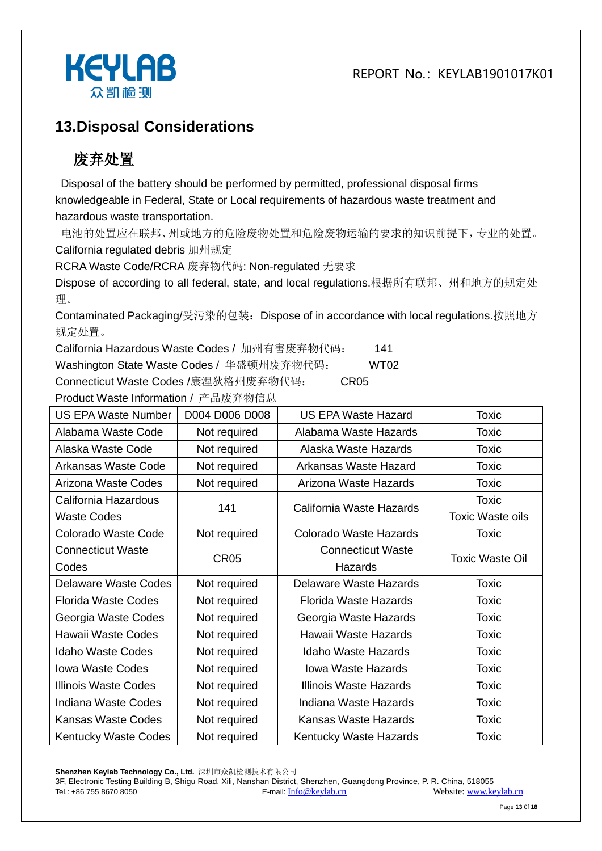

#### **13.Disposal Considerations**

# 废弃处置

Disposal of the battery should be performed by permitted, professional disposal firms knowledgeable in Federal, State or Local requirements of hazardous waste treatment and hazardous waste transportation.

电池的处置应在联邦、州或地方的危险废物处置和危险废物运输的要求的知识前提下,专业的处置。 California regulated debris 加州规定

RCRA Waste Code/RCRA 废弃物代码: Non-regulated 无要求

Dispose of according to all federal, state, and local regulations.根据所有联邦、州和地方的规定处 理。

Contaminated Packaging/受污染的包装:Dispose of in accordance with local regulations.按照地方 规定处置。

California Hazardous Waste Codes / 加州有害废弃物代码: 141

Washington State Waste Codes / 华盛顿州废弃物代码: WT02

Connecticut Waste Codes /康涅狄格州废弃物代码: CR05

Product Waste Information / 产品废弃物信息 US EPA Waste Number | D004 D006 D008 | US EPA Waste Hazard | Toxic Alabama Waste Code | Not required | Alabama Waste Hazards | Toxic Alaska Waste Code | Not required | Alaska Waste Hazards | Toxic Arkansas Waste Code | Not required | Arkansas Waste Hazard | Toxic Arizona Waste Codes | Not required | Arizona Waste Hazards | Toxic California Hazardous Waste Codes 141 California Waste Hazards Toxic Toxic Waste oils Colorado Waste Code | Not required | Colorado Waste Hazards | Toxic Connecticut Waste Codes CR05 Connecticut Waste **Hazards** Toxic Waste Oil Delaware Waste Codes | Not required | Delaware Waste Hazards | Toxic Florida Waste Codes | Not required | Florida Waste Hazards | Toxic Georgia Waste Codes | Not required | Georgia Waste Hazards | Toxic Hawaii Waste Codes | Not required | Hawaii Waste Hazards | Toxic Idaho Waste Codes | Not required | Idaho Waste Hazards | Toxic Iowa Waste Codes | Not required | Iowa Waste Hazards | Toxic Illinois Waste Codes | Not required | Illinois Waste Hazards | Toxic Indiana Waste Codes | Not required | Indiana Waste Hazards | Toxic Kansas Waste Codes | Not required | Kansas Waste Hazards | Toxic Kentucky Waste Codes Not required Kentucky Waste Hazards Noxic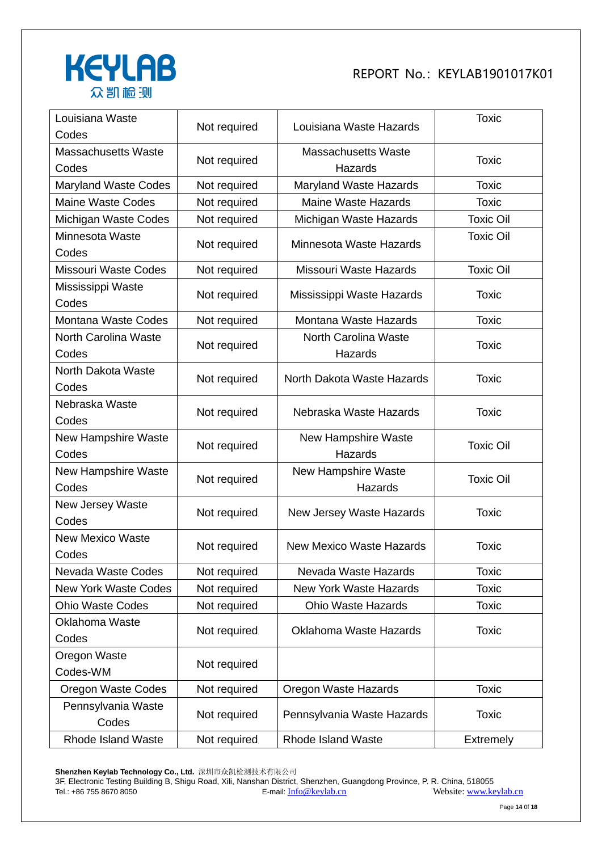

| Louisiana Waste<br>Codes            | Not required | Louisiana Waste Hazards               | <b>Toxic</b>     |
|-------------------------------------|--------------|---------------------------------------|------------------|
| <b>Massachusetts Waste</b><br>Codes | Not required | <b>Massachusetts Waste</b><br>Hazards | <b>Toxic</b>     |
| <b>Maryland Waste Codes</b>         | Not required | Maryland Waste Hazards                | <b>Toxic</b>     |
| <b>Maine Waste Codes</b>            | Not required | <b>Maine Waste Hazards</b>            | <b>Toxic</b>     |
| Michigan Waste Codes                | Not required | Michigan Waste Hazards                | <b>Toxic Oil</b> |
| Minnesota Waste<br>Codes            | Not required | Minnesota Waste Hazards               | <b>Toxic Oil</b> |
| <b>Missouri Waste Codes</b>         | Not required | Missouri Waste Hazards                | <b>Toxic Oil</b> |
| Mississippi Waste<br>Codes          | Not required | Mississippi Waste Hazards             | <b>Toxic</b>     |
| Montana Waste Codes                 | Not required | Montana Waste Hazards                 | <b>Toxic</b>     |
| North Carolina Waste<br>Codes       | Not required | North Carolina Waste<br>Hazards       | <b>Toxic</b>     |
| North Dakota Waste<br>Codes         | Not required | North Dakota Waste Hazards            | <b>Toxic</b>     |
| Nebraska Waste<br>Codes             | Not required | Nebraska Waste Hazards                | <b>Toxic</b>     |
| New Hampshire Waste<br>Codes        | Not required | New Hampshire Waste<br>Hazards        | <b>Toxic Oil</b> |
| New Hampshire Waste<br>Codes        | Not required | <b>New Hampshire Waste</b><br>Hazards | <b>Toxic Oil</b> |
| New Jersey Waste<br>Codes           | Not required | New Jersey Waste Hazards              | <b>Toxic</b>     |
| <b>New Mexico Waste</b><br>Codes    | Not required | <b>New Mexico Waste Hazards</b>       | <b>Toxic</b>     |
| Nevada Waste Codes                  | Not required | Nevada Waste Hazards                  | <b>Toxic</b>     |
| <b>New York Waste Codes</b>         | Not required | <b>New York Waste Hazards</b>         | <b>Toxic</b>     |
| <b>Ohio Waste Codes</b>             | Not required | <b>Ohio Waste Hazards</b>             | <b>Toxic</b>     |
| Oklahoma Waste<br>Codes             | Not required | Oklahoma Waste Hazards                | <b>Toxic</b>     |
| Oregon Waste<br>Codes-WM            | Not required |                                       |                  |
| <b>Oregon Waste Codes</b>           | Not required | Oregon Waste Hazards                  | <b>Toxic</b>     |
| Pennsylvania Waste<br>Codes         | Not required | Pennsylvania Waste Hazards            | <b>Toxic</b>     |
| Rhode Island Waste                  | Not required | <b>Rhode Island Waste</b>             | Extremely        |

**Shenzhen Keylab Technology Co., Ltd.** 深圳市众凯检测技术有限公司

3F, Electronic Testing Building B, Shigu Road, Xili, Nanshan District, Shenzhen, Guangdong Province, P. R. China, 518055 Tel.: +86 755 8670 8050 **E-mail:** [Info@keylab.cn](mailto:Info@keylab.cn) Website[: www.keylab.cn](http://www.keylab.cn/)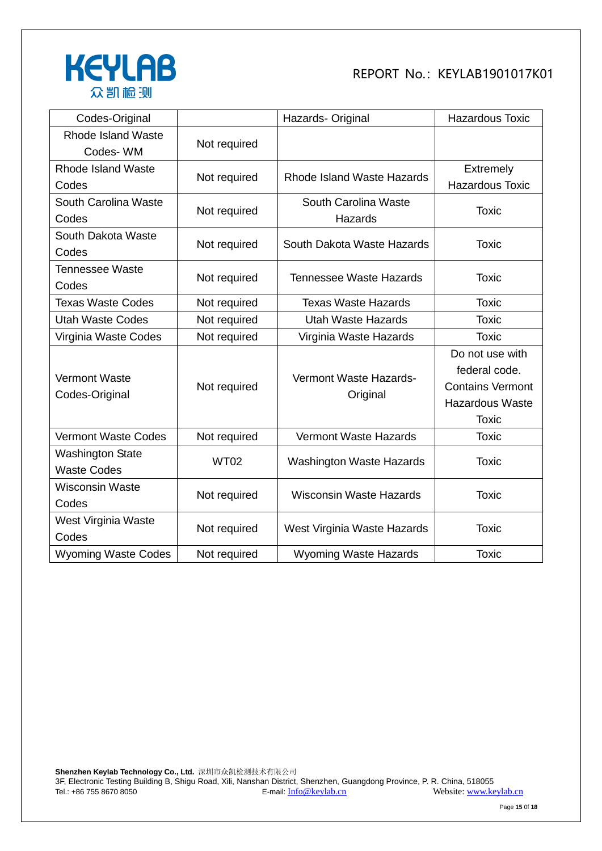

| Codes-Original             |              | Hazards- Original                  | <b>Hazardous Toxic</b>  |
|----------------------------|--------------|------------------------------------|-------------------------|
| <b>Rhode Island Waste</b>  | Not required |                                    |                         |
| Codes-WM                   |              |                                    |                         |
| Rhode Island Waste         | Not required | Rhode Island Waste Hazards         | <b>Extremely</b>        |
| Codes                      |              |                                    | <b>Hazardous Toxic</b>  |
| South Carolina Waste       | Not required | South Carolina Waste               | <b>Toxic</b>            |
| Codes                      |              | Hazards                            |                         |
| South Dakota Waste         |              | South Dakota Waste Hazards         | <b>Toxic</b>            |
| Codes                      | Not required |                                    |                         |
| <b>Tennessee Waste</b>     | Not required | <b>Tennessee Waste Hazards</b>     | <b>Toxic</b>            |
| Codes                      |              |                                    |                         |
| <b>Texas Waste Codes</b>   | Not required | <b>Texas Waste Hazards</b>         | <b>Toxic</b>            |
| <b>Utah Waste Codes</b>    | Not required | <b>Utah Waste Hazards</b>          | <b>Toxic</b>            |
| Virginia Waste Codes       | Not required | Virginia Waste Hazards             | <b>Toxic</b>            |
|                            |              |                                    | Do not use with         |
| <b>Vermont Waste</b>       | Not required | Vermont Waste Hazards-<br>Original | federal code.           |
| Codes-Original             |              |                                    | <b>Contains Vermont</b> |
|                            |              |                                    | <b>Hazardous Waste</b>  |
|                            |              |                                    | <b>Toxic</b>            |
| <b>Vermont Waste Codes</b> | Not required | <b>Vermont Waste Hazards</b>       | <b>Toxic</b>            |
| <b>Washington State</b>    | <b>WT02</b>  | <b>Washington Waste Hazards</b>    | <b>Toxic</b>            |
| <b>Waste Codes</b>         |              |                                    |                         |
| <b>Wisconsin Waste</b>     |              | <b>Wisconsin Waste Hazards</b>     | <b>Toxic</b>            |
| Codes                      | Not required |                                    |                         |
| West Virginia Waste        |              | West Virginia Waste Hazards        | <b>Toxic</b>            |
| Codes                      | Not required |                                    |                         |
| <b>Wyoming Waste Codes</b> | Not required | <b>Wyoming Waste Hazards</b>       | <b>Toxic</b>            |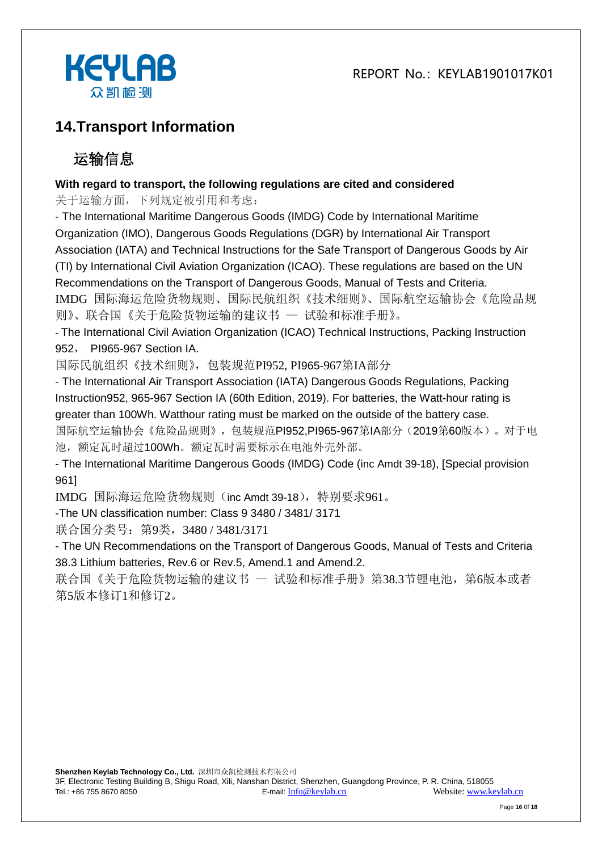



## **14.Transport Information**

# 运输信息

#### **With regard to transport, the following regulations are cited and considered**

关于运输方面,下列规定被引用和考虑:

- The International Maritime Dangerous Goods (IMDG) Code by International Maritime Organization (IMO), Dangerous Goods Regulations (DGR) by International Air Transport Association (IATA) and Technical Instructions for the Safe Transport of Dangerous Goods by Air (TI) by International Civil Aviation Organization (ICAO). These regulations are based on the UN Recommendations on the Transport of Dangerous Goods, Manual of Tests and Criteria. IMDG 国际海运危险货物规则、国际民航组织《技术细则》、国际航空运输协会《危险品规 则》、联合国《关于危险货物运输的建议书 — 试验和标准手册》。

- The International Civil Aviation Organization (ICAO) Technical Instructions, Packing Instruction 952, PI965-967 Section IA.

国际民航组织《技术细则》,包装规范PI952, PI965-967第IA部分

- The International Air Transport Association (IATA) Dangerous Goods Regulations, Packing Instruction952, 965-967 Section IA (60th Edition, 2019). For batteries, the Watt-hour rating is greater than 100Wh. Watthour rating must be marked on the outside of the battery case.

国际航空运输协会《危险品规则》,包装规范PI952,PI965-967第IA部分(2019第60版本)。对于电 池,额定瓦时超过100Wh。额定瓦时需要标示在电池外壳外部。

- The International Maritime Dangerous Goods (IMDG) Code (inc Amdt 39-18), [Special provision 961]

IMDG 国际海运危险货物规则(inc Amdt 39-18),特别要求961。

-The UN classification number: Class 9 3480 / 3481/ 3171

联合国分类号: 第9类, 3480 / 3481/3171

- The UN Recommendations on the Transport of Dangerous Goods, Manual of Tests and Criteria 38.3 Lithium batteries, Rev.6 or Rev.5, Amend.1 and Amend.2.

联合国《关于危险货物运输的建议书 一 试验和标准手册》第38.3节锂电池, 第6版本或者 第5版本修订1和修订2。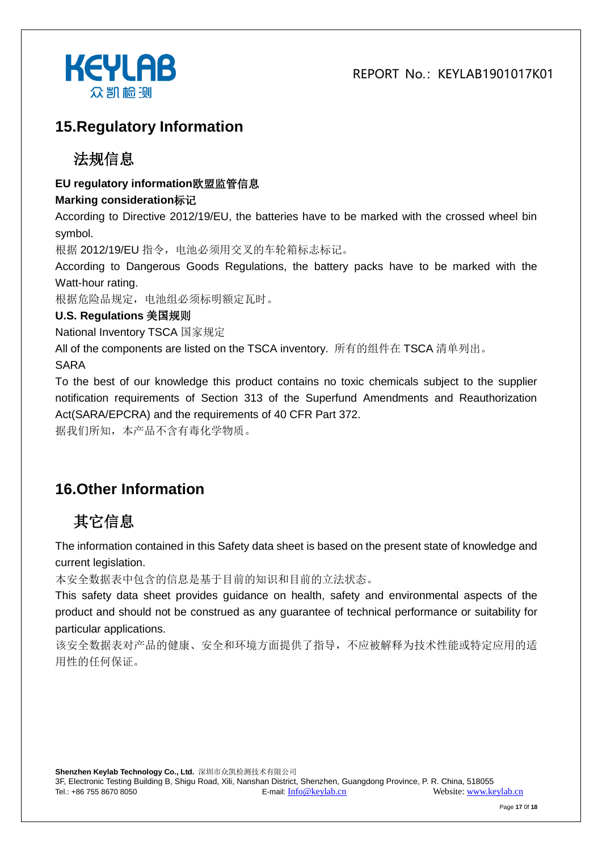

#### **15.Regulatory Information**

#### 法规信息

#### **EU regulatory information**欧盟监管信息

#### **Marking consideration**标记

According to Directive 2012/19/EU, the batteries have to be marked with the crossed wheel bin symbol.

根据 2012/19/EU 指令,电池必须用交叉的车轮箱标志标记。

According to Dangerous Goods Regulations, the battery packs have to be marked with the Watt-hour rating.

根据危险品规定,电池组必须标明额定瓦时。

#### **U.S. Regulations** 美国规则

National Inventory TSCA 国家规定

All of the components are listed on the TSCA inventory. 所有的组件在 TSCA 清单列出。

SARA

To the best of our knowledge this product contains no toxic chemicals subject to the supplier notification requirements of Section 313 of the Superfund Amendments and Reauthorization Act(SARA/EPCRA) and the requirements of 40 CFR Part 372.

据我们所知,本产品不含有毒化学物质。

## **16.Other Information**

# 其它信息

The information contained in this Safety data sheet is based on the present state of knowledge and current legislation.

本安全数据表中包含的信息是基于目前的知识和目前的立法状态。

This safety data sheet provides guidance on health, safety and environmental aspects of the product and should not be construed as any guarantee of technical performance or suitability for particular applications.

该安全数据表对产品的健康、安全和环境方面提供了指导,不应被解释为技术性能或特定应用的适 用性的任何保证。